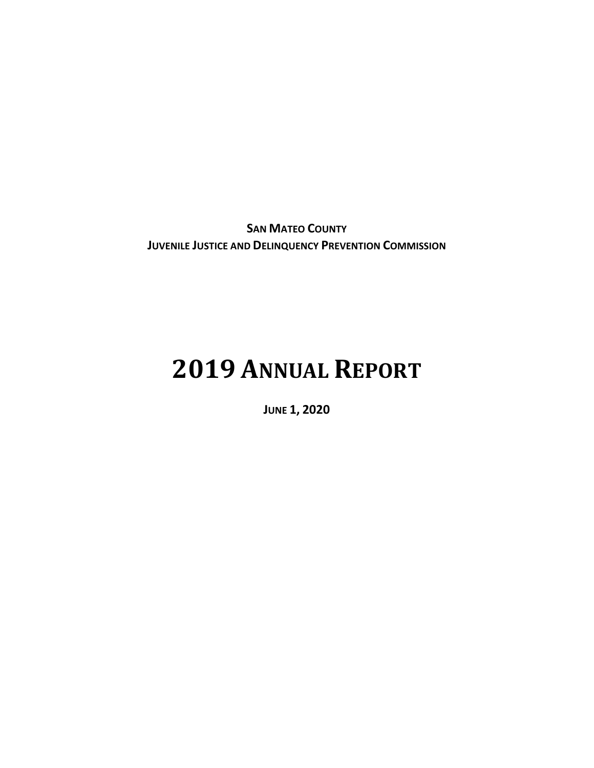**SAN MATEO COUNTY JUVENILE JUSTICE AND DELINQUENCY PREVENTION COMMISSION** 

# **2019 ANNUAL REPORT**

**JUNE 1, 2020**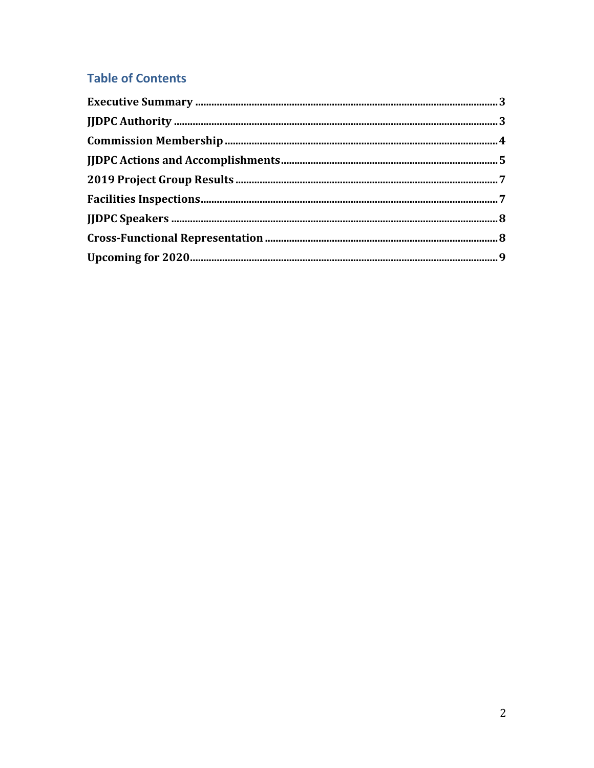# **Table of Contents**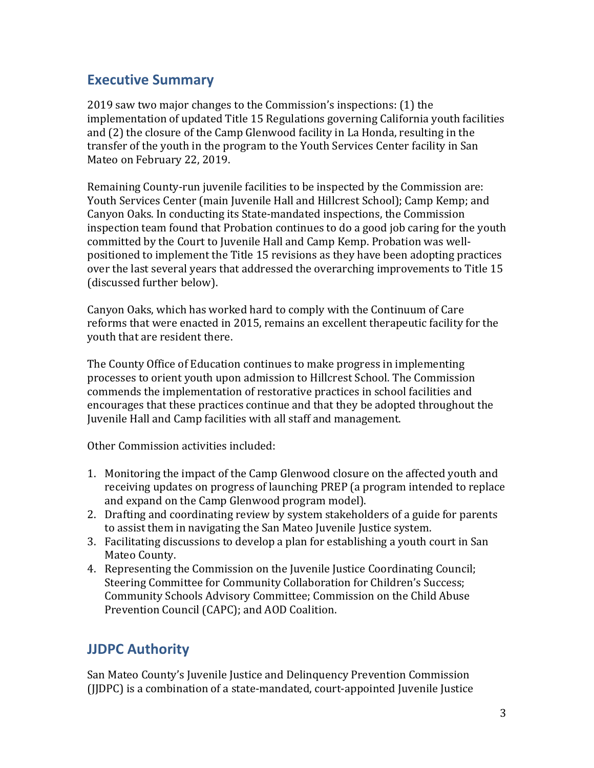## <span id="page-2-0"></span>**Executive Summary**

2019 saw two major changes to the Commission's inspections: (1) the implementation of updated Title 15 Regulations governing California youth facilities and (2) the closure of the Camp Glenwood facility in La Honda, resulting in the transfer of the youth in the program to the Youth Services Center facility in San Mateo on February 22, 2019.

Remaining County-run juvenile facilities to be inspected by the Commission are: Youth Services Center (main Juvenile Hall and Hillcrest School); Camp Kemp; and Canyon Oaks. In conducting its State-mandated inspections, the Commission inspection team found that Probation continues to do a good job caring for the youth committed by the Court to Juvenile Hall and Camp Kemp. Probation was wellpositioned to implement the Title 15 revisions as they have been adopting practices over the last several years that addressed the overarching improvements to Title 15 (discussed further below).

Canyon Oaks, which has worked hard to comply with the Continuum of Care reforms that were enacted in 2015, remains an excellent therapeutic facility for the youth that are resident there.

The County Office of Education continues to make progress in implementing processes to orient youth upon admission to Hillcrest School. The Commission commends the implementation of restorative practices in school facilities and encourages that these practices continue and that they be adopted throughout the Juvenile Hall and Camp facilities with all staff and management.

Other Commission activities included:

- 1. Monitoring the impact of the Camp Glenwood closure on the affected youth and receiving updates on progress of launching PREP (a program intended to replace and expand on the Camp Glenwood program model).
- 2. Drafting and coordinating review by system stakeholders of a guide for parents to assist them in navigating the San Mateo Juvenile Justice system.
- 3. Facilitating discussions to develop a plan for establishing a youth court in San Mateo County.
- 4. Representing the Commission on the Juvenile Justice Coordinating Council; Steering Committee for Community Collaboration for Children's Success; Community Schools Advisory Committee; Commission on the Child Abuse Prevention Council (CAPC); and AOD Coalition.

# <span id="page-2-1"></span>**JJDPC Authority**

San Mateo County's Juvenile Justice and Delinquency Prevention Commission (JJDPC) is a combination of a state-mandated, court-appointed Juvenile Justice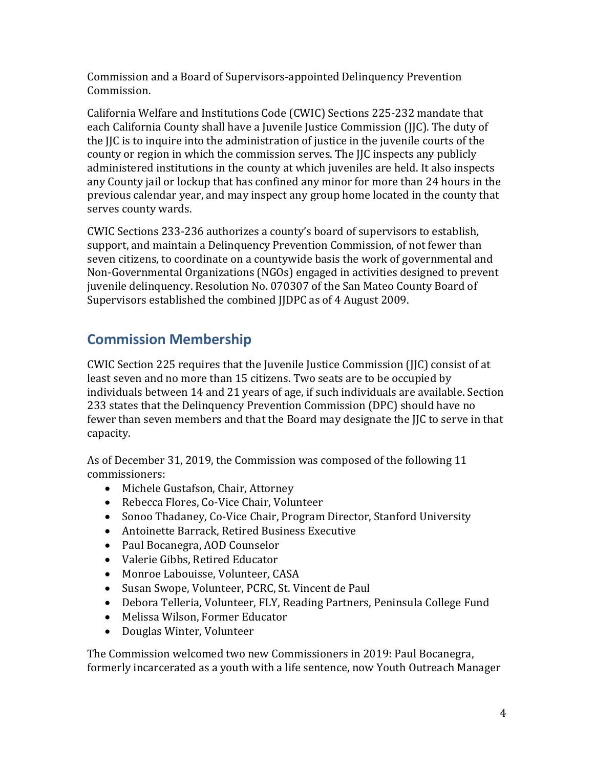Commission and a Board of Supervisors-appointed Delinquency Prevention Commission.

California Welfare and Institutions Code (CWIC) Sections 225-232 mandate that each California County shall have a Juvenile Justice Commission (JJC). The duty of the JJC is to inquire into the administration of justice in the juvenile courts of the county or region in which the commission serves. The JJC inspects any publicly administered institutions in the county at which juveniles are held. It also inspects any County jail or lockup that has confined any minor for more than 24 hours in the previous calendar year, and may inspect any group home located in the county that serves county wards.

CWIC Sections 233-236 authorizes a county's board of supervisors to establish, support, and maintain a Delinquency Prevention Commission, of not fewer than seven citizens, to coordinate on a countywide basis the work of governmental and Non-Governmental Organizations (NGOs) engaged in activities designed to prevent juvenile delinquency. Resolution No. 070307 of the San Mateo County Board of Supervisors established the combined JJDPC as of 4 August 2009.

# <span id="page-3-0"></span>**Commission Membership**

CWIC Section 225 requires that the Juvenile Justice Commission (JJC) consist of at least seven and no more than 15 citizens. Two seats are to be occupied by individuals between 14 and 21 years of age, if such individuals are available. Section 233 states that the Delinquency Prevention Commission (DPC) should have no fewer than seven members and that the Board may designate the JJC to serve in that capacity.

As of December 31, 2019, the Commission was composed of the following 11 commissioners:

- Michele Gustafson, Chair, Attorney
- Rebecca Flores, Co-Vice Chair, Volunteer
- Sonoo Thadaney, Co-Vice Chair, Program Director, Stanford University
- Antoinette Barrack, Retired Business Executive
- Paul Bocanegra, AOD Counselor
- Valerie Gibbs, Retired Educator
- Monroe Labouisse, Volunteer, CASA
- Susan Swope, Volunteer, PCRC, St. Vincent de Paul
- Debora Telleria, Volunteer, FLY, Reading Partners, Peninsula College Fund
- Melissa Wilson, Former Educator
- Douglas Winter, Volunteer

The Commission welcomed two new Commissioners in 2019: Paul Bocanegra, formerly incarcerated as a youth with a life sentence, now Youth Outreach Manager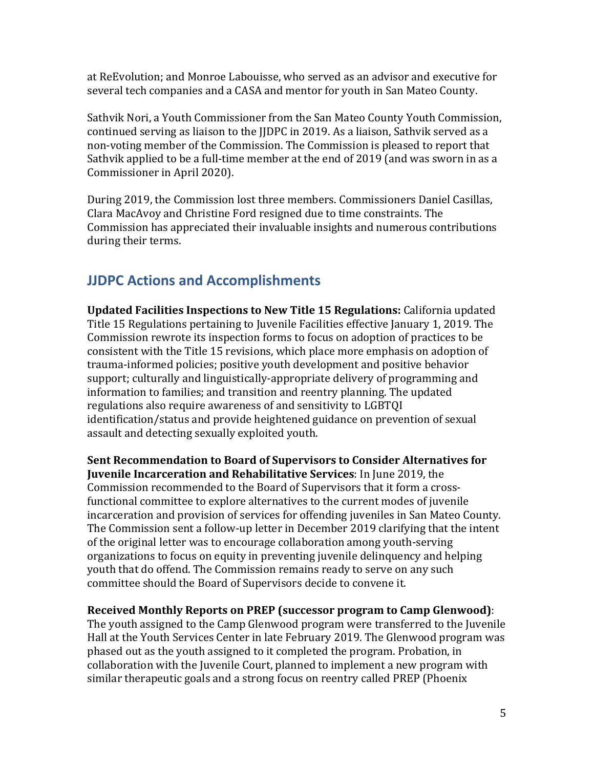at ReEvolution; and Monroe Labouisse, who served as an advisor and executive for several tech companies and a CASA and mentor for youth in San Mateo County.

Sathvik Nori, a Youth Commissioner from the San Mateo County Youth Commission, continued serving as liaison to the JJDPC in 2019. As a liaison, Sathvik served as a non-voting member of the Commission. The Commission is pleased to report that Sathvik applied to be a full-time member at the end of 2019 (and was sworn in as a Commissioner in April 2020).

During 2019, the Commission lost three members. Commissioners Daniel Casillas, Clara MacAvoy and Christine Ford resigned due to time constraints. The Commission has appreciated their invaluable insights and numerous contributions during their terms.

# <span id="page-4-0"></span>**JJDPC Actions and Accomplishments**

**Updated Facilities Inspections to New Title 15 Regulations:** California updated Title 15 Regulations pertaining to Juvenile Facilities effective January 1, 2019. The Commission rewrote its inspection forms to focus on adoption of practices to be consistent with the Title 15 revisions, which place more emphasis on adoption of trauma-informed policies; positive youth development and positive behavior support; culturally and linguistically-appropriate delivery of programming and information to families; and transition and reentry planning. The updated regulations also require awareness of and sensitivity to LGBTQI identification/status and provide heightened guidance on prevention of sexual assault and detecting sexually exploited youth.

**Sent Recommendation to Board of Supervisors to Consider Alternatives for Juvenile Incarceration and Rehabilitative Services**: In June 2019, the Commission recommended to the Board of Supervisors that it form a crossfunctional committee to explore alternatives to the current modes of juvenile incarceration and provision of services for offending juveniles in San Mateo County. The Commission sent a follow-up letter in December 2019 clarifying that the intent of the original letter was to encourage collaboration among youth-serving organizations to focus on equity in preventing juvenile delinquency and helping youth that do offend. The Commission remains ready to serve on any such committee should the Board of Supervisors decide to convene it.

#### **Received Monthly Reports on PREP (successor program to Camp Glenwood)**:

The youth assigned to the Camp Glenwood program were transferred to the Juvenile Hall at the Youth Services Center in late February 2019. The Glenwood program was phased out as the youth assigned to it completed the program. Probation, in collaboration with the Juvenile Court, planned to implement a new program with similar therapeutic goals and a strong focus on reentry called PREP (Phoenix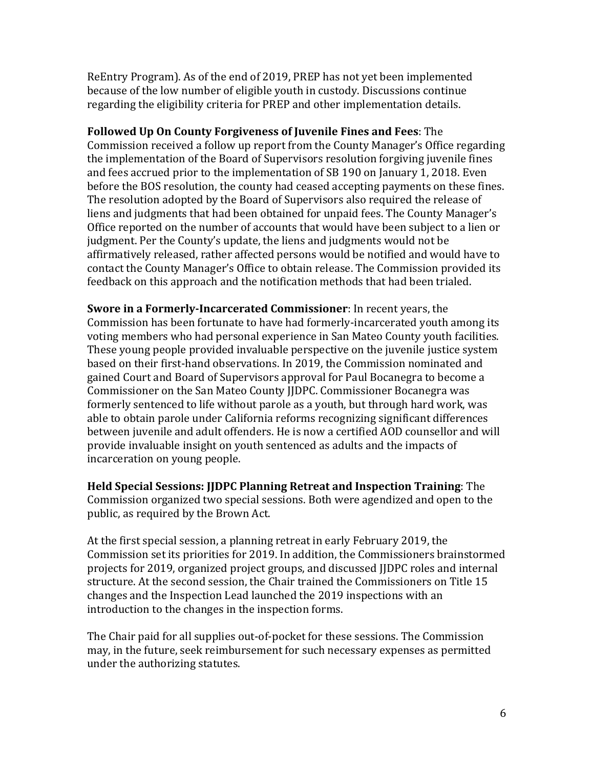ReEntry Program). As of the end of 2019, PREP has not yet been implemented because of the low number of eligible youth in custody. Discussions continue regarding the eligibility criteria for PREP and other implementation details.

**Followed Up On County Forgiveness of Juvenile Fines and Fees**: The Commission received a follow up report from the County Manager's Office regarding the implementation of the Board of Supervisors resolution forgiving juvenile fines and fees accrued prior to the implementation of SB 190 on January 1, 2018. Even before the BOS resolution, the county had ceased accepting payments on these fines. The resolution adopted by the Board of Supervisors also required the release of liens and judgments that had been obtained for unpaid fees. The County Manager's Office reported on the number of accounts that would have been subject to a lien or judgment. Per the County's update, the liens and judgments would not be affirmatively released, rather affected persons would be notified and would have to contact the County Manager's Office to obtain release. The Commission provided its feedback on this approach and the notification methods that had been trialed.

**Swore in a Formerly-Incarcerated Commissioner**: In recent years, the Commission has been fortunate to have had formerly-incarcerated youth among its voting members who had personal experience in San Mateo County youth facilities. These young people provided invaluable perspective on the juvenile justice system based on their first-hand observations. In 2019, the Commission nominated and gained Court and Board of Supervisors approval for Paul Bocanegra to become a Commissioner on the San Mateo County JJDPC. Commissioner Bocanegra was formerly sentenced to life without parole as a youth, but through hard work, was able to obtain parole under California reforms recognizing significant differences between juvenile and adult offenders. He is now a certified AOD counsellor and will provide invaluable insight on youth sentenced as adults and the impacts of incarceration on young people.

**Held Special Sessions: JJDPC Planning Retreat and Inspection Training**: The Commission organized two special sessions. Both were agendized and open to the public, as required by the Brown Act.

At the first special session, a planning retreat in early February 2019, the Commission set its priorities for 2019. In addition, the Commissioners brainstormed projects for 2019, organized project groups, and discussed JJDPC roles and internal structure. At the second session, the Chair trained the Commissioners on Title 15 changes and the Inspection Lead launched the 2019 inspections with an introduction to the changes in the inspection forms.

The Chair paid for all supplies out-of-pocket for these sessions. The Commission may, in the future, seek reimbursement for such necessary expenses as permitted under the authorizing statutes.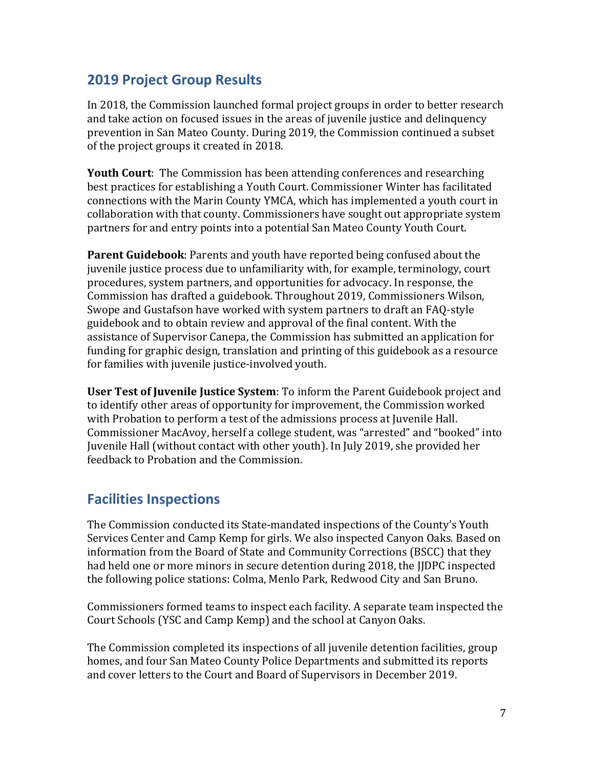## <span id="page-6-0"></span>**2019 Project Group Results**

In 2018, the Commission launched formal project groups in order to better research and take action on focused issues in the areas of juvenile justice and delinquency prevention in San Mateo County. During 2019, the Commission continued a subset of the project groups it created in 2018.

**Youth Court**: The Commission has been attending conferences and researching best practices for establishing a Youth Court. Commissioner Winter has facilitated connections with the Marin County YMCA, which has implemented a youth court in collaboration with that county. Commissioners have sought out appropriate system partners for and entry points into a potential San Mateo County Youth Court.

**Parent Guidebook**: Parents and youth have reported being confused about the juvenile justice process due to unfamiliarity with, for example, terminology, court procedures, system partners, and opportunities for advocacy. In response, the Commission has drafted a guidebook. Throughout 2019, Commissioners Wilson, Swope and Gustafson have worked with system partners to draft an FAQ-style guidebook and to obtain review and approval of the final content. With the assistance of Supervisor Canepa, the Commission has submitted an application for funding for graphic design, translation and printing of this guidebook as a resource for families with juvenile justice-involved youth.

**User Test of Juvenile Justice System**: To inform the Parent Guidebook project and to identify other areas of opportunity for improvement, the Commission worked with Probation to perform a test of the admissions process at Juvenile Hall. Commissioner MacAvoy, herself a college student, was "arrested" and "booked" into Juvenile Hall (without contact with other youth). In July 2019, she provided her feedback to Probation and the Commission.

## <span id="page-6-1"></span>**Facilities Inspections**

The Commission conducted its State-mandated inspections of the County's Youth Services Center and Camp Kemp for girls. We also inspected Canyon Oaks. Based on information from the Board of State and Community Corrections (BSCC) that they had held one or more minors in secure detention during 2018, the IIDPC inspected the following police stations: Colma, Menlo Park, Redwood City and San Bruno.

Commissioners formed teams to inspect each facility. A separate team inspected the Court Schools (YSC and Camp Kemp) and the school at Canyon Oaks.

The Commission completed its inspections of all juvenile detention facilities, group homes, and four San Mateo County Police Departments and submitted its reports and cover letters to the Court and Board of Supervisors in December 2019.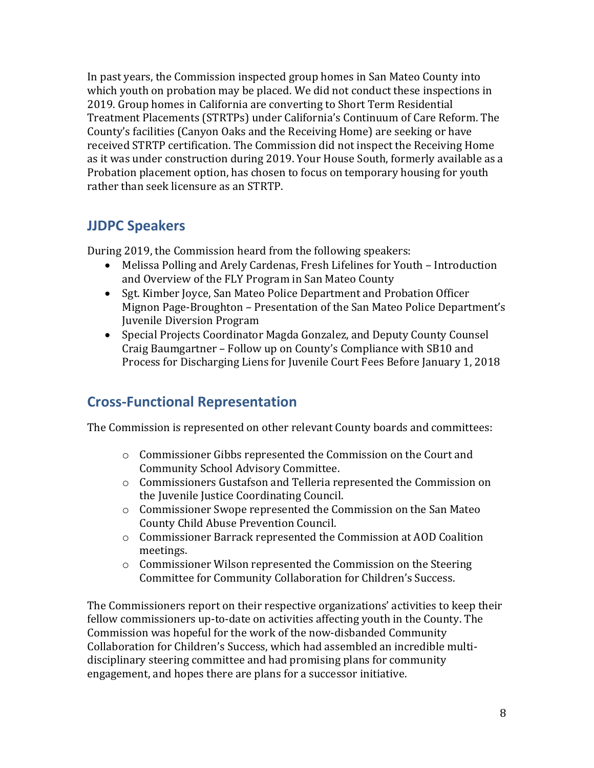In past years, the Commission inspected group homes in San Mateo County into which youth on probation may be placed. We did not conduct these inspections in 2019. Group homes in California are converting to Short Term Residential Treatment Placements (STRTPs) under California's Continuum of Care Reform. The County's facilities (Canyon Oaks and the Receiving Home) are seeking or have received STRTP certification. The Commission did not inspect the Receiving Home as it was under construction during 2019. Your House South, formerly available as a Probation placement option, has chosen to focus on temporary housing for youth rather than seek licensure as an STRTP.

## <span id="page-7-0"></span>**JJDPC Speakers**

During 2019, the Commission heard from the following speakers:

- Melissa Polling and Arely Cardenas, Fresh Lifelines for Youth Introduction and Overview of the FLY Program in San Mateo County
- Sgt. Kimber Joyce, San Mateo Police Department and Probation Officer Mignon Page-Broughton – Presentation of the San Mateo Police Department's Juvenile Diversion Program
- Special Projects Coordinator Magda Gonzalez, and Deputy County Counsel Craig Baumgartner – Follow up on County's Compliance with SB10 and Process for Discharging Liens for Juvenile Court Fees Before January 1, 2018

# <span id="page-7-1"></span>**Cross-Functional Representation**

The Commission is represented on other relevant County boards and committees:

- o Commissioner Gibbs represented the Commission on the Court and Community School Advisory Committee.
- o Commissioners Gustafson and Telleria represented the Commission on the Juvenile Justice Coordinating Council.
- o Commissioner Swope represented the Commission on the San Mateo County Child Abuse Prevention Council.
- o Commissioner Barrack represented the Commission at AOD Coalition meetings.
- o Commissioner Wilson represented the Commission on the Steering Committee for Community Collaboration for Children's Success.

The Commissioners report on their respective organizations' activities to keep their fellow commissioners up-to-date on activities affecting youth in the County. The Commission was hopeful for the work of the now-disbanded Community Collaboration for Children's Success, which had assembled an incredible multidisciplinary steering committee and had promising plans for community engagement, and hopes there are plans for a successor initiative.